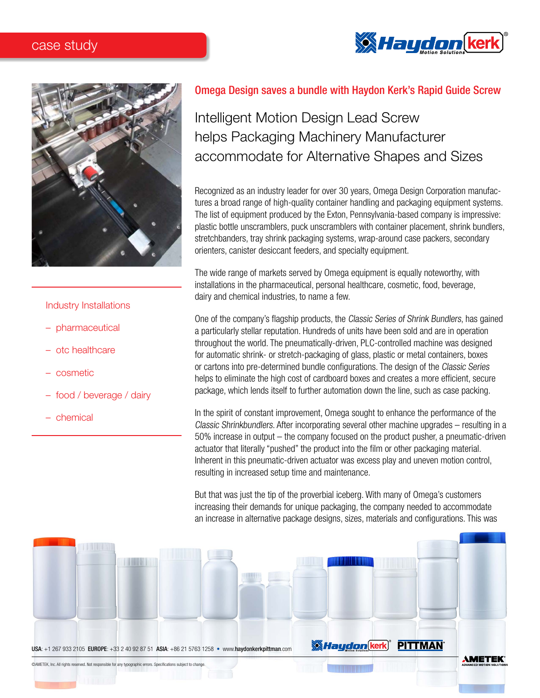## case study





### Industry Installations

- pharmaceutical
- otc healthcare
- cosmetic
- food / beverage / dairy
- chemical

## Omega Design saves a bundle with Haydon Kerk's Rapid Guide Screw

# Intelligent Motion Design Lead Screw helps Packaging Machinery Manufacturer accommodate for Alternative Shapes and Sizes

Recognized as an industry leader for over 30 years, Omega Design Corporation manufactures a broad range of high-quality container handling and packaging equipment systems. The list of equipment produced by the Exton, Pennsylvania-based company is impressive: plastic bottle unscramblers, puck unscramblers with container placement, shrink bundlers, stretchbanders, tray shrink packaging systems, wrap-around case packers, secondary orienters, canister desiccant feeders, and specialty equipment.

The wide range of markets served by Omega equipment is equally noteworthy, with installations in the pharmaceutical, personal healthcare, cosmetic, food, beverage, dairy and chemical industries, to name a few.

One of the company's flagship products, the Classic Series of Shrink Bundlers, has gained a particularly stellar reputation. Hundreds of units have been sold and are in operation throughout the world. The pneumatically-driven, PLC-controlled machine was designed for automatic shrink- or stretch-packaging of glass, plastic or metal containers, boxes or cartons into pre-determined bundle configurations. The design of the Classic Series helps to eliminate the high cost of cardboard boxes and creates a more efficient, secure package, which lends itself to further automation down the line, such as case packing.

In the spirit of constant improvement, Omega sought to enhance the performance of the Classic Shrinkbundlers. After incorporating several other machine upgrades – resulting in a 50% increase in output – the company focused on the product pusher, a pneumatic-driven actuator that literally "pushed" the product into the film or other packaging material. Inherent in this pneumatic-driven actuator was excess play and uneven motion control, resulting in increased setup time and maintenance.

But that was just the tip of the proverbial iceberg. With many of Omega's customers increasing their demands for unique packaging, the company needed to accommodate an increase in alternative package designs, sizes, materials and configurations. This was

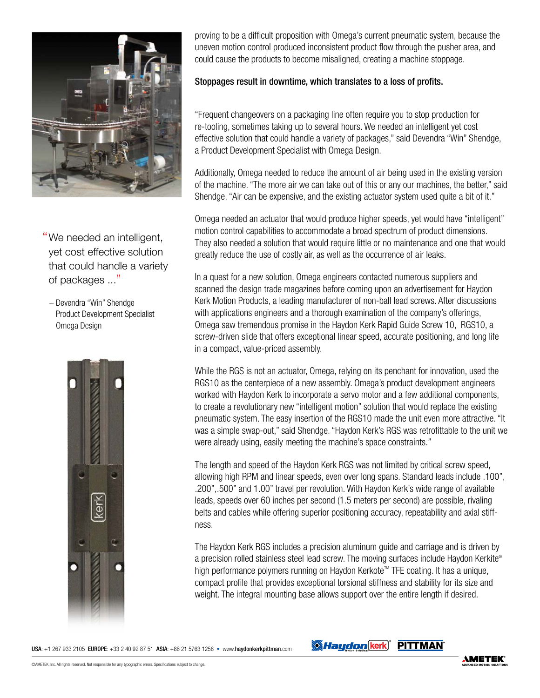

"We needed an intelligent, yet cost effective solution that could handle a variety of packages ..."

– Devendra "Win" Shendge Product Development Specialist Omega Design



proving to be a difficult proposition with Omega's current pneumatic system, because the uneven motion control produced inconsistent product flow through the pusher area, and could cause the products to become misaligned, creating a machine stoppage.

### Stoppages result in downtime, which translates to a loss of profits.

"Frequent changeovers on a packaging line often require you to stop production for re-tooling, sometimes taking up to several hours. We needed an intelligent yet cost effective solution that could handle a variety of packages," said Devendra "Win" Shendge, a Product Development Specialist with Omega Design.

Additionally, Omega needed to reduce the amount of air being used in the existing version of the machine. "The more air we can take out of this or any our machines, the better," said Shendge. "Air can be expensive, and the existing actuator system used quite a bit of it."

Omega needed an actuator that would produce higher speeds, yet would have "intelligent" motion control capabilities to accommodate a broad spectrum of product dimensions. They also needed a solution that would require little or no maintenance and one that would greatly reduce the use of costly air, as well as the occurrence of air leaks.

In a quest for a new solution, Omega engineers contacted numerous suppliers and scanned the design trade magazines before coming upon an advertisement for Haydon Kerk Motion Products, a leading manufacturer of non-ball lead screws. After discussions with applications engineers and a thorough examination of the company's offerings, Omega saw tremendous promise in the Haydon Kerk Rapid Guide Screw 10, RGS10, a screw-driven slide that offers exceptional linear speed, accurate positioning, and long life in a compact, value-priced assembly.

While the RGS is not an actuator, Omega, relying on its penchant for innovation, used the RGS10 as the centerpiece of a new assembly. Omega's product development engineers worked with Haydon Kerk to incorporate a servo motor and a few additional components, to create a revolutionary new "intelligent motion" solution that would replace the existing pneumatic system. The easy insertion of the RGS10 made the unit even more attractive. "It was a simple swap-out," said Shendge. "Haydon Kerk's RGS was retrofittable to the unit we were already using, easily meeting the machine's space constraints."

The length and speed of the Haydon Kerk RGS was not limited by critical screw speed, allowing high RPM and linear speeds, even over long spans. Standard leads include .100", .200",.500" and 1.00" travel per revolution. With Haydon Kerk's wide range of available leads, speeds over 60 inches per second (1.5 meters per second) are possible, rivaling belts and cables while offering superior positioning accuracy, repeatability and axial stiffness.

The Haydon Kerk RGS includes a precision aluminum guide and carriage and is driven by a precision rolled stainless steel lead screw. The moving surfaces include Haydon Kerkite® high performance polymers running on Haydon Kerkote™ TFE coating. It has a unique, compact profile that provides exceptional torsional stiffness and stability for its size and weight. The integral mounting base allows support over the entire length if desired.

USA: +1 267 933 2105 EUROPE: +33 2 40 92 87 51 ASIA: +86 21 5763 1258 • www.haydonkerkpittman.com